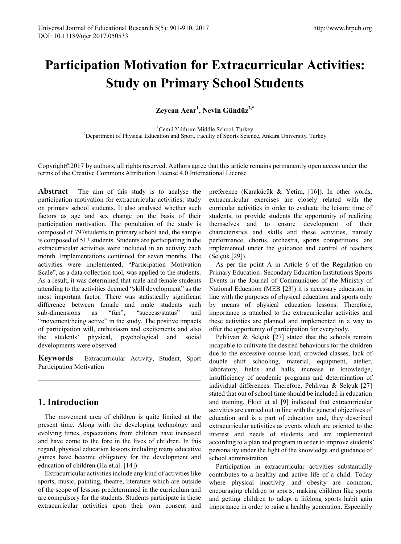# **Participation Motivation for Extracurricular Activities: Study on Primary School Students**

**Zeycan Acar<sup>1</sup> , Nevin Gündüz2,\***

<sup>1</sup>Cemil Yıldırım Middle School, Turkey Cemil Yıldırım Middle School, Turkey <sup>2</sup> Department of Physical Education and Sport, Faculty of Sports Science, Ankara University, Turkey

Copyright©2017 by authors, all rights reserved. Authors agree that this article remains permanently open access under the terms of the Creative Commons Attribution License 4.0 International License

**Abstract** The aim of this study is to analyse the participation motivation for extracurricular activities; study on primary school students. It also analysed whether such factors as age and sex change on the basis of their participation motivation. The population of the study is composed of 797students in primary school and, the sample is composed of 513 students. Students are participating in the extracurricular activities were included in an activity each month. Implementations continued for seven months. The activities were implemented, "Participation Motivation Scale", as a data collection tool, was applied to the students. As a result, it was determined that male and female students attending to the activities deemed "skill development" as the most important factor. There was statistically significant difference between female and male students such sub-dimensions as "fun", "success/status" and "movement/being active" in the study. The positive impacts of participation will, enthusiasm and excitements and also the students' physical, psychological and social developments were observed.

**Keywords** Extracurricular Activity, Student, Sport Participation Motivation

## **1. Introduction**

The movement area of children is quite limited at the present time. Along with the developing technology and evolving times, expectations from children have increased and have come to the fore in the lives of children. In this regard, physical education lessons including many educative games have become obligatory for the development and education of children (Ha et.al. [14])

Extracurricular activities include any kind of activities like sports, music, painting, theatre, literature which are outside of the scope of lessons predetermined in the curriculum and are compulsory for the students. Students participate in these extracurricular activities upon their own consent and

preference (Karaküçük & Yetim, [16]). In other words, extracurricular exercises are closely related with the curricular activities in order to evaluate the leisure time of students, to provide students the opportunity of realizing themselves and to ensure development of their characteristics and skills and these activities, namely performance, chorus, orchestra, sports competitions, are implemented under the guidance and control of teachers (Selçuk [29]).

As per the point A in Article 6 of the Regulation on Primary Education- Secondary Education Institutions Sports Events in the Journal of Communiques of the Ministry of National Education (MEB [23]) it is necessary education in line with the purposes of physical education and sports only by means of physical education lessons. Therefore, importance is attached to the extracurricular activities and these activities are planned and implemented in a way to offer the opportunity of participation for everybody.

Pehlivan & Selçuk [27] stated that the schools remain incapable to cultivate the desired behaviours for the children due to the excessive course load, crowded classes, lack of double shift schooling, material, equipment, atelier, laboratory, fields and halls, increase in knowledge, insufficiency of academic programs and determination of individual differences. Therefore, Pehlivan & Selçuk [27] stated that out of school time should be included in education and training. Ekici et al [9] indicated that extracurricular activities are carried out in line with the general objectives of education and is a part of education and, they described extracurricular activities as events which are oriented to the interest and needs of students and are implemented according to a plan and program in order to improve students' personality under the light of the knowledge and guidance of school administration.

Participation in extracurricular activities substantially contributes to a healthy and active life of a child. Today where physical inactivity and obesity are common; encouraging children to sports, making children like sports and getting children to adopt a lifelong sports habit gain importance in order to raise a healthy generation. Especially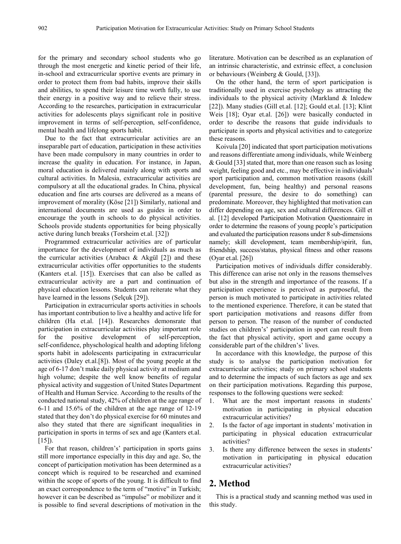for the primary and secondary school students who go through the most energetic and kinetic period of their life, in-school and extracurricular sportive events are primary in order to protect them from bad habits, improve their skills and abilities, to spend their leisure time worth fully, to use their energy in a positive way and to relieve their stress. According to the researches, participation in extracurricular activities for adolescents plays significant role in positive improvement in terms of self-perception, self-confidence, mental health and lifelong sports habit.

Due to the fact that extracurricular activities are an inseparable part of education, participation in these activities have been made compulsory in many countries in order to increase the quality in education. For instance, in Japan, moral education is delivered mainly along with sports and cultural activities. In Malesia, extracurricular activities are compulsory at all the educational grades. In China, physical education and fine arts courses are delivered as a means of improvement of morality (Köse [21]) Similarly, national and international documents are used as guides in order to encourage the youth in schools to do physical activities. Schools provide students opportunities for being physically active during lunch breaks (Torsheim et.al. [32])

Programmed extracurricular activities are of particular importance for the development of individuals as much as the curricular activities (Arabacı & Akgül [2]) and these extracurricular activities offer opportunities to the students (Kanters et.al. [15]). Exercises that can also be called as extracurricular activity are a part and continuation of physical education lessons. Students can reiterate what they have learned in the lessons (Selçuk [29]).

Participation in extracurricular sports activities in schools has important contribution to live a healthy and active life for children (Ha et.al. [14]). Researches demonsrate that participation in extracurricular activities play important role for the positive development of self-perception, self-confidence, physchological health and adopting lifelong sports habit in adolescents participating in extracurricular activities (Daley et.al.[8]). Most of the young people at the age of 6-17 don't make daily physical activity at medium and high volume; despite the well know benefits of regular physical activity and suggestion of United States Department of Health and Human Service. According to the results of the conducted national study, 42% of children at the age range of 6-11 and 15.6% of the children at the age range of 12-19 stated that they don't do physical exercise for 60 minutes and also they stated that there are significant inequalities in participation in sports in terms of sex and age (Kanters et.al.  $[15]$ .

For that reason, children's' participation in sports gains still more importance especially in this day and age. So, the concept of participation motivation has been determined as a concept which is required to be researched and examined within the scope of sports of the young. It is difficult to find an exact correspondence to the term of "motive" in Turkish; however it can be described as "impulse" or mobilizer and it is possible to find several descriptions of motivation in the literature. Motivation can be described as an explanation of an intrinsic characteristic, and extrinsic effect, a conclusion or behaviours (Weinberg & Gould, [33]).

On the other hand, the term of sport participation is traditionally used in exercise psychology as attracting the individuals to the physical activity (Markland & Inledew [22]). Many studies (Gill et.al. [12]; Gould et.al. [13]; Klint Weis [18]; Oyar et.al. [26]) were basically conducted in order to describe the reasons that guide individuals to participate in sports and physical activities and to categorize these reasons.

Koivula [20] indicated that sport participation motivations and reasons differentiate among individuals, while Weinberg & Gould [33] stated that, more than one reason such as losing weight, feeling good and etc., may be effective in individuals' sport participation and, common motivation reasons (skill development, fun, being healthy) and personal reasons (parental pressure, the desire to do something) can predominate. Moreover, they highlighted that motivation can differ depending on age, sex and cultural differences. Gill et al. [12] developed Participation Motivation Questionnaire in order to determine the reasons of young people's participation and evaluated the participation reasons under 8 sub-dimensions namely; skill development, team membership/spirit, fun, friendship, success/status, physical fitness and other reasons (Oyar et.al. [26])

Participation motives of individuals differ considerably. This difference can arise not only in the reasons themselves but also in the strength and importance of the reasons. If a participation experience is perceived as purposeful, the person is much motivated to participate in activities related to the mentioned experience. Therefore, it can be stated that sport participation motivations and reasons differ from person to person. The reason of the number of conducted studies on children's' participation in sport can result from the fact that physical activity, sport and game occupy a considerable part of the children's' lives.

In accordance with this knowledge, the purpose of this study is to analyse the participation motivation for extracurricular activities; study on primary school students and to determine the impacts of such factors as age and sex on their participation motivations. Regarding this purpose, responses to the following questions were seeked:

- 1. What are the most important reasons in students' motivation in participating in physical education extracurricular activities?
- 2. Is the factor of age important in students' motivation in participating in physical education extracurricular activities?
- 3. Is there any difference between the sexes in students' motivation in participating in physical education extracurricular activities?

# **2. Method**

This is a practical study and scanning method was used in this study.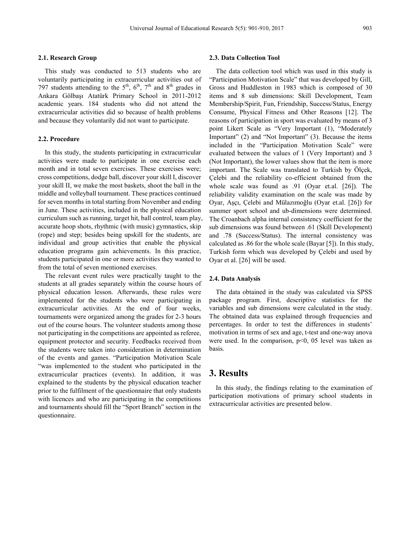#### **2.1. Research Group**

This study was conducted to 513 students who are voluntarily participating in extracurricular activities out of 797 students attending to the  $5<sup>th</sup>$ ,  $6<sup>th</sup>$ ,  $7<sup>th</sup>$  and  $8<sup>th</sup>$  grades in Ankara Gölbaşı Atatürk Primary School in 2011-2012 academic years. 184 students who did not attend the extracurricular activities did so because of health problems and because they voluntarily did not want to participate.

#### **2.2. Procedure**

In this study, the students participating in extracurricular activities were made to participate in one exercise each month and in total seven exercises. These exercises were; cross competitions, dodge ball, discover your skill I, discover your skill II, we make the most baskets, shoot the ball in the middle and volleyball tournament. These practices continued for seven months in total starting from November and ending in June. These activities, included in the physical education curriculum such as running, target hit, ball control, team play, accurate hoop shots, [rhythmic \(with music\) gymnastics,](http://tureng.com/tr/turkce-ingilizce/rhythmic%20gymnastics) skip (rope) and step; besides being upskill for the students, are individual and group activities that enable the physical education programs gain achievements. In this practice, students participated in one or more activities they wanted to from the total of seven mentioned exercises.

The relevant event rules were practically taught to the students at all grades separately within the course hours of physical education lesson. Afterwards, these rules were implemented for the students who were participating in extracurricular activities. At the end of four weeks, tournaments were organized among the grades for 2-3 hours out of the course hours. The volunteer students among those not participating in the competitions are appointed as referee, equipment protector and security. Feedbacks received from the students were taken into consideration in determination of the events and games. "Participation Motivation Scale "was implemented to the student who participated in the extracurricular practices (events). In addition, it was explained to the students by the physical education teacher prior to the fulfilment of the questionnaire that only students with licences and who are participating in the competitions and tournaments should fill the "Sport Branch" section in the questionnaire.

#### **2.3. Data Collection Tool**

The data collection tool which was used in this study is "Participation Motivation Scale" that was developed by Gill, Gross and Huddleston in 1983 which is composed of 30 items and 8 sub dimensions: Skill Development, Team Membership/Spirit, Fun, Friendship, Success/Status, Energy Consume, Physical Fitness and Other Reasons [12]. The reasons of participation in sport was evaluated by means of 3 point Likert Scale as "Very Important (1), "Moderately Important" (2) and "Not Important" (3). Because the items included in the "Participation Motivation Scale" were evaluated between the values of 1 (Very Important) and 3 (Not Important), the lower values show that the item is more important. The Scale was translated to Turkish by Ölçek, Çelebi and the reliability co-efficient obtained from the whole scale was found as .91 (Oyar et.al. [26]). The reliability validity examination on the scale was made by Oyar, Aşçı, Çelebi and Mülazımoğlu (Oyar et.al. [26]) for summer sport school and ub-dimensions were determined. The Croanbach alpha internal consistency coefficient for the sub dimensions was found between .61 (Skill Development) and .78 (Success/Status). The internal consistency was calculated as .86 for the whole scale (Bayar [5]). In this study, Turkish form which was developed by Çelebi and used by Oyar et al. [26] will be used.

#### **2.4. Data Analysis**

The data obtained in the study was calculated via SPSS package program. First, descriptive statistics for the variables and sub dimensions were calculated in the study. The obtained data was explained through frequencies and percentages. In order to test the differences in students' motivation in terms of sex and age, t-test and one-way anova were used. In the comparison, p<0, 05 level was taken as basis.

## **3. Results**

In this study, the findings relating to the examination of participation motivations of primary school students in extracurricular activities are presented below.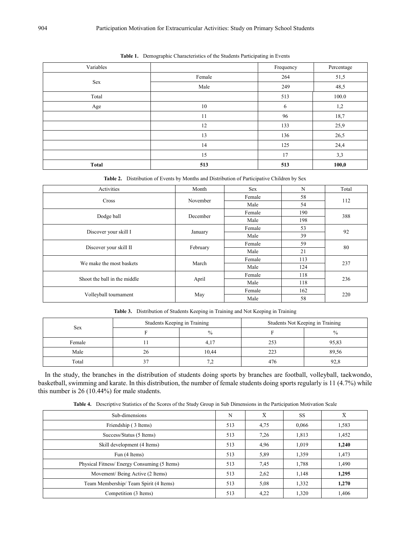| Variables |        | Frequency | Percentage |
|-----------|--------|-----------|------------|
| Sex       | Female | 264       | 51,5       |
|           | Male   | 249       | 48,5       |
| Total     |        | 513       | 100.0      |
| Age       | 10     | 6         | 1,2        |
|           | 11     | 96        | 18,7       |
|           | 12     | 133       | 25,9       |
|           | 13     | 136       | 26,5       |
|           | 14     | 125       | 24,4       |
|           | 15     | 17        | 3,3        |
| Total     | 513    | 513       | 100,0      |

|  |  |  |  | Table 1. Demographic Characteristics of the Students Participating in Events |  |  |
|--|--|--|--|------------------------------------------------------------------------------|--|--|
|--|--|--|--|------------------------------------------------------------------------------|--|--|

**Table 2.** Distribution of Events by Months and Distribution of Participative Children by Sex

| Activities                   | Month    | <b>Sex</b> | N   | Total |  |
|------------------------------|----------|------------|-----|-------|--|
|                              |          | Female     | 58  |       |  |
| <b>Cross</b>                 | November | Male       | 54  | 112   |  |
|                              | December | Female     | 190 | 388   |  |
| Dodge ball                   |          | Male       | 198 |       |  |
|                              |          | Female     | 53  |       |  |
| Discover your skill I        | January  | Male       | 39  | 92    |  |
|                              | February | Female     | 59  | 80    |  |
| Discover your skill II       |          | Male       | 21  |       |  |
| We make the most baskets     | March    | Female     | 113 | 237   |  |
|                              |          | Male       | 124 |       |  |
| Shoot the ball in the middle |          | Female     | 118 | 236   |  |
|                              | April    | Male       | 118 |       |  |
| Volleyball tournament        |          | Female     | 162 |       |  |
|                              | May      | Male       | 58  | 220   |  |

**Table 3.** Distribution of Students Keeping in Training and Not Keeping in Training

|            | Students Keeping in Training |               | Students Not Keeping in Training |               |  |
|------------|------------------------------|---------------|----------------------------------|---------------|--|
| <b>Sex</b> |                              | $\frac{0}{0}$ |                                  | $\frac{0}{0}$ |  |
| Female     |                              | 4,17          | 253                              | 95,83         |  |
| Male       | 26                           | 10,44         | າາາ<br>44.                       | 89.56         |  |
| Total      |                              | -4            | 476                              | 92.8          |  |

In the study, the branches in the distribution of students doing sports by branches are football, volleyball, taekwondo, basketball, swimming and karate. In this distribution, the number of female students doing sports regularly is 11 (4.7%) while this number is 26 (10.44%) for male students.

**Table 4.** Descriptive Statistics of the Scores of the Study Group in Sub Dimensions in the Participation Motivation Scale

| Sub-dimensions                              | N   | $\bar{\text{X}}$ | <b>SS</b> | $\bar{\text{X}}$ |
|---------------------------------------------|-----|------------------|-----------|------------------|
| Friendship (3 Items)                        | 513 | 4,75             | 0,066     | 1,583            |
| Success/Status (5 Items)                    | 513 | 7.26             | 1,813     | 1,452            |
| Skill development (4 Items)                 | 513 | 4,96             | 1,019     | 1,240            |
| Fun (4 Items)                               | 513 | 5,89             | 1,359     | 1,473            |
| Physical Fitness/Energy Consuming (5 Items) | 513 | 7.45             | 1,788     | 1,490            |
| Movement/Being Active (2 Items)             | 513 | 2,62             | 1,148     | 1,295            |
| Team Membership/Team Spirit (4 Items)       | 513 | 5,08             | 1,332     | 1,270            |
| Competition (3 Items)                       | 513 | 4,22             | 1,320     | 1,406            |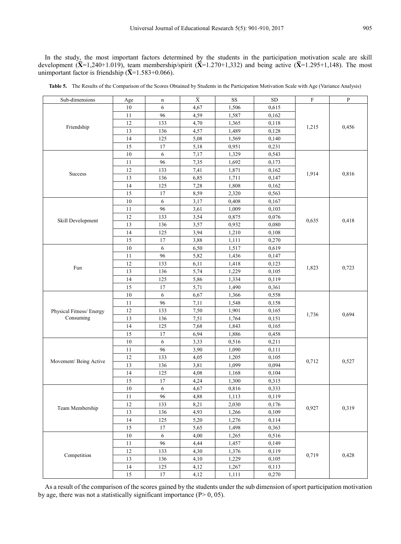In the study, the most important factors determined by the students in the participation motivation scale are skill development  $(\bar{X}$ =1,240+1.019), team membership/spirit  $(\bar{X}$ =1.270+1,332) and being active  $(\bar{X}$ =1.295+1,148). The most unimportant factor is friendship  $(\overline{X} = 1.583 + 0.066)$ .

| Sub-dimensions          | Age    | n                | $\bar{\mathrm{X}}$ | SS    | ${\rm SD}$ | F     | P     |
|-------------------------|--------|------------------|--------------------|-------|------------|-------|-------|
|                         | 10     | 6                | 4,67               | 1,506 | 0,615      |       |       |
|                         | 11     | 96               | 4,59               | 1,587 | 0,162      |       |       |
|                         | 12     | 133              | 4,70               | 1,365 | 0,118      |       |       |
| Friendship              | 13     | 136              | 4,57               | 1,489 | 0,128      | 1,215 | 0,456 |
|                         | 14     | 125              | 5,08               | 1,569 | 0,140      |       |       |
|                         | 15     | 17               | 5,18               | 0,951 | 0,231      |       |       |
|                         | 10     | 6                | 7,17               | 1,329 | 0,543      |       |       |
|                         | 11     | 96               | 7,35               | 1,692 | 0,173      |       |       |
|                         | 12     | 133              | 7,41               | 1,871 | 0,162      |       |       |
| Success                 | 13     | 136              | 6,85               | 1,711 | 0,147      | 1,914 | 0,816 |
|                         | 14     | 125              | 7,28               | 1,808 | 0,162      |       |       |
|                         | 15     | 17               | 8,59               | 2,320 | 0,563      |       |       |
|                         | $10\,$ | 6                | 3,17               | 0,408 | 0,167      |       |       |
|                         | 11     | 96               | 3,61               | 1,009 | 0,103      |       |       |
|                         | 12     | 133              | 3,54               | 0,875 | 0,076      |       |       |
| Skill Development       | 13     | 136              | 3,57               | 0,932 | 0,080      | 0,635 | 0,418 |
|                         | 14     | 125              | 3,94               | 1,210 | 0,108      |       |       |
|                         | 15     | 17               | 3,88               | 1,111 | 0,270      |       |       |
|                         | $10\,$ | $\sqrt{6}$       | 6,50               | 1,517 | 0,619      |       |       |
|                         | 11     | 96               | 5,82               | 1,436 | 0,147      |       | 0,723 |
|                         | 12     | 133              | 6,11               | 1,418 | 0,123      |       |       |
| Fun                     | 13     | 136              | 5,74               | 1,229 | 0,105      | 1,823 |       |
|                         | 14     | 125              | 5,86               | 1,334 | 0,119      |       |       |
|                         | 15     | 17               | 5,71               | 1,490 | 0,361      |       |       |
|                         | $10\,$ | $\sqrt{6}$       | 6,67               | 1,366 | 0,558      |       | 0,694 |
|                         | 11     | 96               | 7,11               | 1,548 | 0,158      |       |       |
| Physical Fitness/Energy | 12     | 133              | 7,50               | 1,901 | 0,165      |       |       |
| Consuming               | 13     | 136              | 7,51               | 1,764 | 0,151      | 1,736 |       |
|                         | 14     | 125              | 7,68               | 1,843 | 0,165      |       |       |
|                         | 15     | 17               | 6,94               | 1,886 | 0,458      |       |       |
|                         | 10     | 6                | 3,33               | 0,516 | 0,211      |       |       |
|                         | 11     | 96               | 3,90               | 1,090 | 0,111      |       |       |
|                         | 12     | 133              | 4,05               | 1,205 | 0,105      |       |       |
| Movement/ Being Active  | 13     | 136              | 3,81               | 1,099 | 0,094      | 0,712 | 0,527 |
|                         | 14     | 125              | 4,08               | 1,168 | 0,104      |       |       |
|                         | 15     | 17               | 4,24               | 1,300 | 0,315      |       |       |
|                         | $10\,$ | 6                | 4,67               | 0,816 | 0,333      |       |       |
|                         | 11     | 96               | 4,88               | 1,113 | 0,119      |       |       |
|                         | 12     | 133              | 8,21               | 2,030 | 0,176      |       |       |
| Team Membership         | 13     | 136              | 4,93               | 1,266 | 0,109      | 0,927 | 0,319 |
|                         | 14     | 125              | 5,20               | 1,276 | 0,114      |       |       |
|                         | 15     | 17               | 5,65               | 1,498 | 0,363      |       |       |
|                         | $10\,$ | $\boldsymbol{6}$ | 4,00               | 1,265 | 0,516      |       |       |
|                         | 11     | 96               | 4,44               | 1,457 | 0,149      |       |       |
|                         | 12     | 133              | 4,30               | 1,376 | 0,119      |       |       |
| Competition             | 13     | 136              | 4,10               | 1,229 | 0,105      | 0,719 | 0,428 |
|                         | 14     | 125              | 4,12               | 1,267 | 0,113      |       |       |
|                         | 15     | $17\,$           | 4,12               | 1,111 | 0,270      |       |       |

**Table 5.** The Results of the Comparison of the Scores Obtained by Students in the Participation Motivation Scale with Age (Variance Analysis)

As a result of the comparison of the scores gained by the students under the sub dimension of sport participation motivation by age, there was not a statistically significant importance  $(P> 0, 05)$ .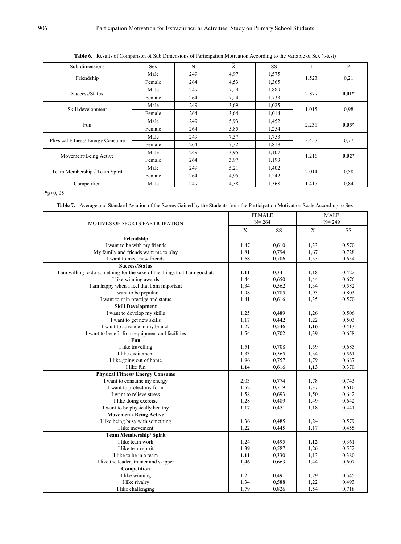| Sub-dimensions                  | <b>Sex</b> | N   | $\bar{X}$ | SS.   | T     | P       |
|---------------------------------|------------|-----|-----------|-------|-------|---------|
|                                 | Male       | 249 | 4,97      | 1,575 |       | 0,21    |
| Friendship                      | Female     | 264 | 4,53      | 1,365 | 1.523 |         |
|                                 | Male       | 249 | 7,29      | 1,889 |       |         |
| Success/Status                  | Female     | 264 | 7,24      | 1,733 | 2.879 | $0.01*$ |
|                                 | Male       | 249 | 3.69      | 1,025 |       | 0,98    |
| Skill development               | Female     | 264 | 3,64      | 1,014 | 1.015 |         |
|                                 | Male       | 249 | 5,93      | 1,452 | 2.231 | $0.03*$ |
| Fun                             | Female     | 264 | 5,85      | 1,254 |       |         |
| Physical Fitness/Energy Consume | Male       | 249 | 7,57      | 1,753 | 3.457 | 0,77    |
|                                 | Female     | 264 | 7,32      | 1,818 |       |         |
|                                 | Male       | 249 | 3.95      | 1,107 | 1.216 | $0.02*$ |
| Movement/Being Active           | Female     | 264 | 3,97      | 1,193 |       |         |
| Team Membership / Team Spirit   | Male       | 249 | 5,21      | 1,402 | 2.014 |         |
|                                 | Female     | 264 | 4,95      | 1,242 |       | 0,58    |
| Competition                     | Male       | 249 | 4,38      | 1,368 | 1.417 | 0,84    |

**Table 6.** Results of Comparison of Sub Dimensions of Participation Motivation According to the Variable of Sex (t-test)

 $*p<0, 05$ 

**Table 7.** Average and Standard Aviation of the Scores Gained by the Students from the Participation Motivation Scale According to Sex

|                                                                            |                         | <b>FEMALE</b> | <b>MALE</b> |           |  |
|----------------------------------------------------------------------------|-------------------------|---------------|-------------|-----------|--|
| MOTIVES OF SPORTS PARTICIPATION                                            |                         | $N = 264$     | $N = 249$   |           |  |
|                                                                            | $\overline{\textbf{X}}$ | <b>SS</b>     | $\bar{X}$   | <b>SS</b> |  |
| Friendship                                                                 |                         |               |             |           |  |
| I want to be with my friends                                               | 1,47                    | 0.610         | 1,33        | 0,570     |  |
| My family and friends want me to play                                      | 1,81                    | 0,794         | 1,67        | 0,728     |  |
| I want to meet new friends                                                 | 1,68                    | 0,706         | 1,53        | 0,654     |  |
| <b>Success/Status</b>                                                      |                         |               |             |           |  |
| I am willing to do something for the sake of the things that I am good at. | 1,11                    | 0,341         | 1,18        | 0,422     |  |
| I like winning awards                                                      | 1,44                    | 0,650         | 1,44        | 0,676     |  |
| I am happy when I feel that I am important                                 | 1,34                    | 0,562         | 1,34        | 0,582     |  |
| I want to be popular                                                       | 1,98                    | 0,785         | 1,93        | 0,803     |  |
| I want to gain prestige and status                                         | 1,41                    | 0.616         | 1,35        | 0,570     |  |
| <b>Skill Development</b>                                                   |                         |               |             |           |  |
| I want to develop my skills                                                | 1,25                    | 0,489         | 1,26        | 0,506     |  |
| I want to get new skills                                                   | 1,17                    | 0,442         | 1,22        | 0,503     |  |
| I want to advance in my branch                                             | 1,27                    | 0,546         | 1,16        | 0,413     |  |
| I want to benefit from equipment and facilities                            | 1,54                    | 0,702         | 1,39        | 0,658     |  |
| Fun                                                                        |                         |               |             |           |  |
| I like travelling                                                          | 1,51                    | 0,708         | 1,59        | 0,685     |  |
| I like excitement                                                          | 1,33                    | 0,565         | 1,34        | 0,561     |  |
| I like going out of home                                                   | 1,96                    | 0,757         | 1,79        | 0,687     |  |
| I like fun                                                                 | 1,14                    | 0,616         | 1,13        | 0,370     |  |
| <b>Physical Fitness/Energy Consume</b>                                     |                         |               |             |           |  |
| I want to consume my energy                                                | 2,03                    | 0,774         | 1,78        | 0,743     |  |
| I want to protect my form                                                  | 1,52                    | 0,719         | 1,37        | 0,610     |  |
| I want to relieve stress                                                   | 1,58                    | 0.693         | 1,50        | 0,642     |  |
| I like doing exercise                                                      | 1,28                    | 0,489         | 1,49        | 0,642     |  |
| I want to be physically healthy                                            | 1,17                    | 0,451         | 1,18        | 0,441     |  |
| <b>Movement/Being Active</b>                                               |                         |               |             |           |  |
| I like being busy with something                                           | 1,36                    | 0,485         | 1,24        | 0,579     |  |
| I like movement                                                            | 1,22                    | 0,445         | 1,17        | 0,455     |  |
| Team Membership/ Spirit                                                    |                         |               |             |           |  |
| I like team work                                                           | 1,24                    | 0,495         | 1,12        | 0,361     |  |
| I like team spirit                                                         | 1,39                    | 0,587         | 1,26        | 0,552     |  |
| I like to be in a team                                                     | 1,11                    | 0,330         | 1,13        | 0,380     |  |
| I like the leader, trainer and skipper                                     | 1,46                    | 0,663         | 1,44        | 0,607     |  |
| Competition                                                                |                         |               |             |           |  |
| I like winning                                                             | 1,25                    | 0,491         | 1,29        | 0,545     |  |
| I like rivalry                                                             | 1,34                    | 0,588         | 1,22        | 0,493     |  |
| I like challenging                                                         | 1,79                    | 0,826         | 1,54        | 0,718     |  |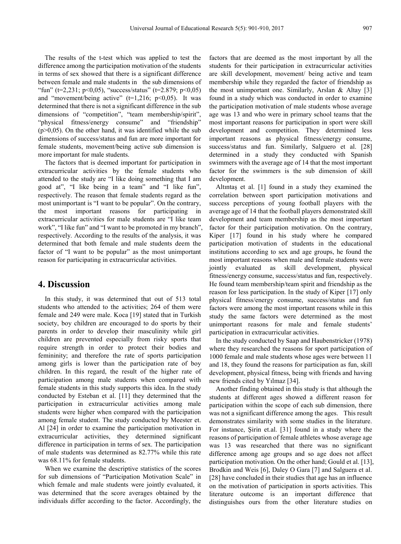The results of the t-test which was applied to test the difference among the participation motivation of the students in terms of sex showed that there is a significant difference between female and male students in the sub dimensions of "fun" (t=2,231; p<0,05), "success/status" (t=2.879; p<0,05) and "movement/being active" ( $t=1,216$ ;  $p<0,05$ ). It was determined that there is not a significant difference in the sub dimensions of "competition", "team membership/spirit", "physical fitness/energy consume" and "friendship"  $(p>0,05)$ . On the other hand, it was identified while the sub dimensions of success/status and fun are more important for female students, movement/being active sub dimension is more important for male students.

The factors that is deemed important for participation in extracurricular activities by the female students who attended to the study are "I like doing something that I am good at", "I like being in a team" and "I like fun", respectively. The reason that female students regard as the most unimportant is "I want to be popular". On the contrary, the most important reasons for participating in extracurricular activities for male students are "I like team work", "I like fun" and "I want to be promoted in my branch", respectively. According to the results of the analysis, it was determined that both female and male students deem the factor of "I want to be popular" as the most unimportant reason for participating in extracurricular activities.

### **4. Discussion**

In this study, it was determined that out of 513 total students who attended to the activities; 264 of them were female and 249 were male. Koca [19] stated that in Turkish society, boy children are encouraged to do sports by their parents in order to develop their masculinity while girl children are prevented especially from risky sports that require strength in order to protect their bodies and femininity; and therefore the rate of sports participation among girls is lower than the participation rate of boy children. In this regard, the result of the higher rate of participation among male students when compared with female students in this study supports this idea. In the study conducted by Esteban et al. [11] they determined that the participation in extracurricular activities among male students were higher when compared with the participation among female student. The study conducted by Meester et. Al [24] in order to examine the participation motivation in extracurricular activities, they determined significant difference in participation in terms of sex. The participation of male students was determined as 82.77% while this rate was 68.11% for female students.

When we examine the descriptive statistics of the scores for sub dimensions of "Participation Motivation Scale" in which female and male students were jointly evaluated, it was determined that the score averages obtained by the individuals differ according to the factor. Accordingly, the

factors that are deemed as the most important by all the students for their participation in extracurricular activities are skill development, movement/ being active and team membership while they regarded the factor of friendship as the most unimportant one. Similarly, Arslan & Altay [3] found in a study which was conducted in order to examine the participation motivation of male students whose average age was 13 and who were in primary school teams that the most important reasons for participation in sport were skill development and competition. They determined less important reasons as physical fitness/energy consume, success/status and fun. Similarly, Salguero et al. [28] determined in a study they conducted with Spanish swimmers with the average age of 14 that the most important factor for the swimmers is the sub dimension of skill development.

Altıntaş et al. [1] found in a study they examined the correlation between sport participation motivations and success perceptions of young football players with the average age of 14 that the football players demonstrated skill development and team membership as the most important factor for their participation motivation. On the contrary, Kiper [17] found in his study where he compared participation motivation of students in the educational institutions according to sex and age groups, he found the most important reasons when male and female students were jointly evaluated as skill development, physical fitness/energy consume, success/status and fun, respectively. He found team membership/team spirit and friendship as the reason for less participation. In the study of Kiper [17] only physical fitness/energy consume, success/status and fun factors were among the most important reasons while in this study the same factors were determined as the most unimportant reasons for male and female students' participation in extracurricular activities.

In the study conducted by Saap and Haubenstricker (1978) where they researched the reasons for sport participation of 1000 female and male students whose ages were between 11 and 18, they found the reasons for participation as fun, skill development, physical fitness, being with friends and having new friends cited by Yılmaz [34].

Another finding obtained in this study is that although the students at different ages showed a different reason for participation within the scope of each sub dimension, there was not a significant difference among the ages. This result demonstrates similarity with some studies in the literature. For instance, Şirin et.al. [31] found in a study where the reasons of participation of female athletes whose average age was 13 was researched that there was no significant difference among age groups and so age does not affect participation motivation. On the other hand; Gould et al. [13], Brodkin and Weis [6], Daley O Gara [7] and Salguera et al. [28] have concluded in their studies that age has an influence on the motivation of participation in sports activities. This literature outcome is an important difference that distinguishes ours from the other literature studies on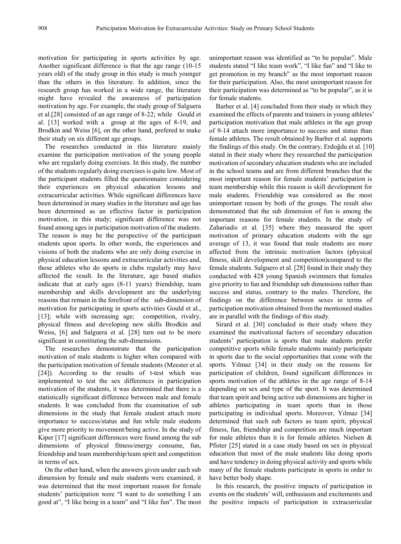motivation for participating in sports activities by age. Another significant difference is that the age range (10-15 years old) of the study group in this study is much younger than the others in this literature. In addition, since the research group has worked in a wide range, the literature might have revealed the awareness of participation motivation by age. For example, the study group of Salguera et al.[28] consisted of an age range of 8-22; while Gould et al. [13] worked with a group at the ages of 8-19, and Brodkin and Weiss [6], on the other hand, prefered to make their study on six different age groups.

The researches conducted in this literature mainly examine the participation motivation of the young people who are regularly doing exercises. In this study, the number of the students regularly doing exercises is quite low. Most of the participant students filled the questionnaire considering their experiences on physical education lessons and extracurricular activities. While significant differences have been determined in many studies in the literature and age has been determined as an effective factor in participation motivation, in this study; significant difference was not found among ages in participation motivation of the students. The reason is may be the perspective of the participant students upon sports. In other words, the experiences and visions of both the students who are only doing exercise in physical education lessons and extracurricular activities and, those athletes who do sports in clubs regularly may have affected the result. In the literature, age based studies indicate that at early ages (8-11 years) friendship, team membership and skills development are the underlying reasons that remain in the forefront of the sub-dimension of motivation for participating in sports activities Gould et al., [13]; while with increasing age; competition, rivalry, physical fitness and developing new skills Brodkin and Weiss, [6] and Salguera et al. [28] turn out to be more significant in constituting the sub-dimensions.

The researches demonstrate that the participation motivation of male students is higher when compared with the participation motivation of female students (Meester et al. [24]). According to the results of t-test which was implemented to test the sex differences in participation motivation of the students, it was determined that there is a statistically significant difference between male and female students. It was concluded from the examination of sub dimensions in the study that female student attach more importance to success/status and fun while male students give more priority to movement/being active. In the study of Kiper [17] significant differences were found among the sub dimensions of physical fitness/energy consume, fun, friendship and team membership/team spirit and competition in terms of sex.

On the other hand, when the answers given under each sub dimension by female and male students were examined, it was determined that the most important reason for female students' participation were "I want to do something I am good at", "I like being in a team" and "I like fun". The most

unimportant reason was identified as "to be popular". Male students stated "I like team work", "I like fun" and "I like to get promotion in my branch" as the most important reason for their participation. Also, the most unimportant reason for their participation was determined as "to be popular", as it is for female students.

Barber et al. [4] concluded from their study in which they examined the effects of parents and trainers in young athletes' participation motivation that male athletes in the age group of 9-14 attach more importance to success and status than female athletes. The result obtained by Barber et al. supports the findings of this study. On the contrary, Erdoğdu et al. [10] stated in their study where they researched the participation motivation of secondary education students who are included in the school teams and are from different branches that the most important reason for female students' participation is team membership while this reason is skill development for male students. Friendship was considered as the most unimportant reason by both of the groups. The result also demonstrated that the sub dimension of fun is among the important reasons for female students. In the study of Zahariadis et al. [35] where they measured the sport motivation of primary education students with the age average of 13, it was found that male students are more affected from the intrinsic motivation factors (physical fitness, skill development and competition)compared to the female students. Salguero et al. [28] found in their study they conducted with 428 young Spanish swimmers that females give priority to fun and friendship sub dimensions rather than success and status, contrary to the males. Therefore, the findings on the difference between sexes in terms of participation motivation obtained from the mentioned studies are in parallel with the findings of this study.

Sirard et al. [30] concluded in their study where they examined the motivational factors of secondary education students' participation is sports that male students prefer competitive sports while female students mainly participate in sports due to the social opportunities that come with the sports. Yilmaz [34] in their study on the reasons for participation of children, found significant differences in sports motivation of the athletes in the age range of 8-14 depending on sex and type of the sport. It was determined that team spirit and being active sub dimensions are higher in athletes participating in team sports than in those participating in individual sports. Moreover, Yılmaz [34] determined that such sub factors as team spirit, physical fitness, fun, friendship and competition are much important for male athletes than it is for female athletes. Nielsen & Pfister [25] stated in a case study based on sex in physical education that most of the male students like doing sports and have tendency in doing physical activity and sports while many of the female students participate in sports in order to have better body shape.

In this research, the positive impacts of participation in events on the students' will, enthusiasm and excitements and the positive impacts of participation in extracurricular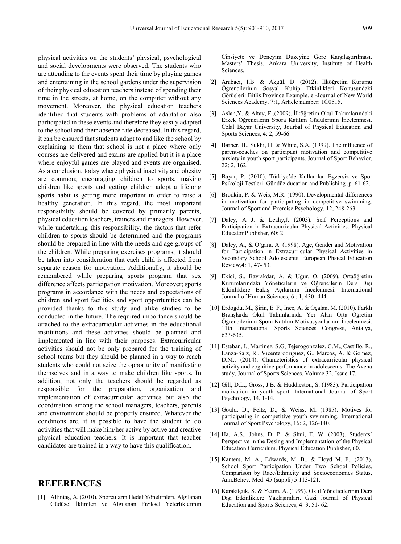physical activities on the students' physical, psychological and social developments were observed. The students who are attending to the events spent their time by playing games and entertaining in the school gardens under the supervision of their physical education teachers instead of spending their time in the streets, at home, on the computer without any movement. Moreover, the physical education teachers identified that students with problems of adaptation also participated in these events and therefore they easily adapted to the school and their absence rate decreased. In this regard, it can be ensured that students adapt to and like the school by explaining to them that school is not a place where only courses are delivered and exams are applied but it is a place where enjoyful games are played and events are organised. As a conclusion, today where physical inactivity and obesity are common; encouraging children to sports, making children like sports and getting children adopt a lifelong sports habit is getting more important in order to raise a healthy generation. In this regard, the most important responsibility should be covered by primarily parents, physical education teachers, trainers and managers. However, while undertaking this responsibility, the factors that refer children to sports should be determined and the programs should be prepared in line with the needs and age groups of the children. While preparing exercises programs, it should be taken into consideration that each child is affected from separate reason for motivation. Additionally, it should be remembered while preparing sports program that sex difference affects participation motivation. Moreover; sports programs in accordance with the needs and expectations of children and sport facilities and sport opportunities can be provided thanks to this study and alike studies to be conducted in the future. The required importance should be attached to the extracurricular activities in the educational institutions and these activities should be planned and implemented in line with their purposes. Extracurricular activities should not be only prepared for the training of school teams but they should be planned in a way to reach students who could not seize the opportunity of manifesting themselves and in a way to make children like sports. In addition, not only the teachers should be regarded as responsible for the preparation, organization and implementation of extracurricular activities but also the coordination among the school managers, teachers, parents and environment should be properly ensured. Whatever the conditions are, it is possible to have the student to do activities that will make him/her active by active and creative physical education teachers. It is important that teacher candidates are trained in a way to have this qualification.

## **REFERENCES**

[1] Altıntaş, A. (2010). Sporcuların Hedef Yönelimleri, Algılanan Güdüsel İklimleri ve Algılanan Fiziksel Yeterliklerinin Cinsiyete ve Deneyim Düzeyine Göre Karşılaştırılması. Masters' Thesis, Ankara University, Institute of Health Sciences.

- [2] Arabacı, İ.B. & Akgül, D. (2012). İlköğretim Kurumu Öğrencilerinin Sosyal Kulüp Etkinlikleri Konusundaki Görüşleri: Bitlis Province Example. e -Journal of New World Sciences Academy, 7:1, Article number: 1C0515.
- [3] Aslan,Y. & Altay, F.,(2009). İlköğretim Okul Takımlarındaki Erkek Öğrencilerin Spora Katılım Güdülerinin İncelenmesi. Celal Bayar University, Jourbal of Physical Education and Sports Sciences, 4: 2, 59-66.
- [4] Barber, H., Sukhi, H. & White, S.A. (1999). The influence of parent-coaches on participant motivation and competitive anxiety in youth sport participants. Journal of Sport Behavior, 22: 2, 162.
- [5] Bayar, P. (2010). Türkiye'de Kullanılan Egzersiz ve Spor Psikoloji Testleri. Gündüz ducation and Publishing .p. 61-62.
- [6] Brodkin, P. & Weis, M.R. (1990). Developmental differences in motivation for participating in competitive swimming. Journal of Sport and Exercise Psychology, 12, 248-263.
- [7] Daley, A J. & Leahy,J. (2003). Self Perceptions and Participation in Extracurricular Physical Activities. Physical Educator Publisher, 60: 2.
- [8] Daley, A., & O'gara, A. (1998). Age, Gender and Motivation for Participation in Extracurricular Physical Activities in Secondary School Adolescents. European Phsical Education Review,4: 1, 47- 53.
- [9] Ekici, S., Bayrakdar, A. & Uğur, O. (2009). Ortaöğretim Kurumlarındaki Yöneticilerin ve Öğrencilerin Ders Dışı Etkinliklere Bakış Açılarının İncelenmesi. International Journal of Human Sciences, 6 : 1, 430- 444.
- [10] Erdoğdu, M., Şirin, E. F., İnce, A. & Öçalan, M. (2010). Farklı Branşlarda Okul Takımlarında Yer Alan Orta Öğretim Öğrencilerinin Spora Katılım Motivasyonlarının İncelenmesi. 11th International Sports Sciences Congress, Antalya, 633-635.
- [11] Esteban, I., Martinez, S.G, Tejerogonzalez, C.M., Castillo, R., Lanza-Saiz, R., Vicenterodriguez, G., Marcos, A. & Gomez, D.M., (2014), Characteristics of extracurricular physical activity and cognitive performance in adolescents. The Avena study, Journal of Sports Sciences, Volume 32, Issue 17.
- [12] Gill, D.L., Gross, J.B. & Huddleston, S. (1983). Participation motivation in youth sport. International Journal of Sport Psychology, 14, 1-14.
- [13] Gould, D., Feltz, D., & Weiss, M. (1985). Motives for participating in competitive youth svvimming. International Journal of Sport Psychology, 16: 2, 126-140.
- [14] Ha, A.S., Johns, D. P. & Shui, E. W. (2003). Students' Perspective in the Desing and Implementation of the Physical Education Curriculum. Physical Education Publisher, 60.
- [15] Kanters, M. A., Edwards, M. B., & Floyd M. F., (2013), School Sport Participation Under Two School Policies, Comparison by Race/Ethnicity and Socioeconomics Status, Ann.Behev. Med. 45 (suppli) 5:113-121.
- [16] Karaküçük, S. & Yetim, A. (1999). Okul Yöneticilerinin Ders Dışı Etkinliklere Yaklaşımları. Gazi Journal of Physical Education and Sports Sciences, 4: 3, 51- 62.